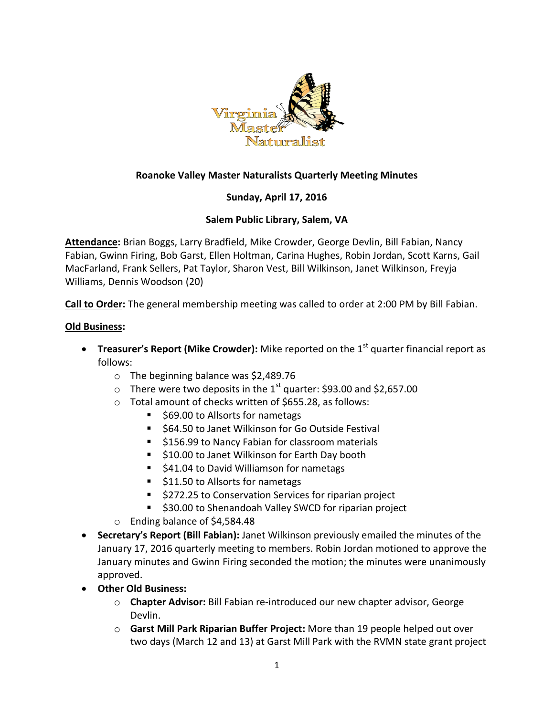

## **Roanoke Valley Master Naturalists Quarterly Meeting Minutes**

# **Sunday, April 17, 2016**

### **Salem Public Library, Salem, VA**

**Attendance:** Brian Boggs, Larry Bradfield, Mike Crowder, George Devlin, Bill Fabian, Nancy Fabian, Gwinn Firing, Bob Garst, Ellen Holtman, Carina Hughes, Robin Jordan, Scott Karns, Gail MacFarland, Frank Sellers, Pat Taylor, Sharon Vest, Bill Wilkinson, Janet Wilkinson, Freyja Williams, Dennis Woodson (20)

**Call to Order:** The general membership meeting was called to order at 2:00 PM by Bill Fabian.

#### **Old Business:**

- **Treasurer's Report (Mike Crowder):** Mike reported on the 1<sup>st</sup> quarter financial report as follows:
	- o The beginning balance was \$2,489.76
	- $\circ$  There were two deposits in the 1<sup>st</sup> quarter: \$93.00 and \$2,657.00
	- o Total amount of checks written of \$655.28, as follows:
		- \$69.00 to Allsorts for nametags
		- \$64.50 to Janet Wilkinson for Go Outside Festival
		- **5156.99 to Nancy Fabian for classroom materials**
		- **510.00 to Janet Wilkinson for Earth Day booth**
		- \$41.04 to David Williamson for nametags
		- \$11.50 to Allsorts for nametags
		- \$272.25 to Conservation Services for riparian project
		- \$30.00 to Shenandoah Valley SWCD for riparian project
	- o Ending balance of \$4,584.48
- **Secretary's Report (Bill Fabian):** Janet Wilkinson previously emailed the minutes of the January 17, 2016 quarterly meeting to members. Robin Jordan motioned to approve the January minutes and Gwinn Firing seconded the motion; the minutes were unanimously approved.
- **Other Old Business:**
	- o **Chapter Advisor:** Bill Fabian re-introduced our new chapter advisor, George Devlin.
	- o **Garst Mill Park Riparian Buffer Project:** More than 19 people helped out over two days (March 12 and 13) at Garst Mill Park with the RVMN state grant project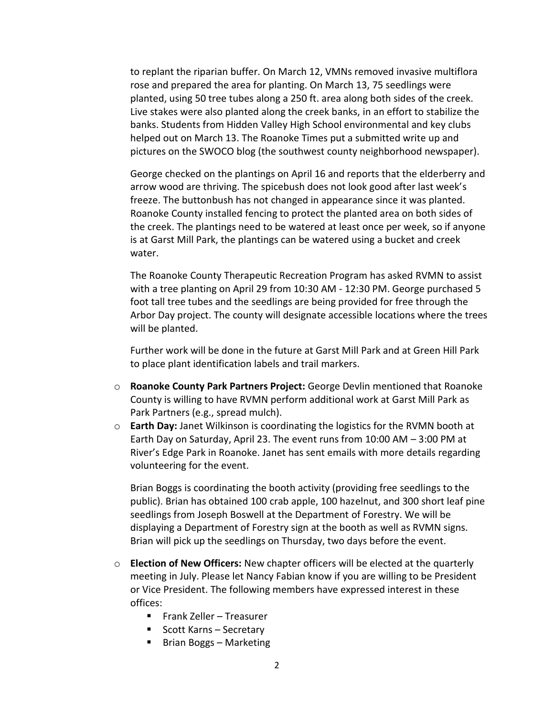to replant the riparian buffer. On March 12, VMNs removed invasive multiflora rose and prepared the area for planting. On March 13, 75 seedlings were planted, using 50 tree tubes along a 250 ft. area along both sides of the creek. Live stakes were also planted along the creek banks, in an effort to stabilize the banks. Students from Hidden Valley High School environmental and key clubs helped out on March 13. The Roanoke Times put a submitted write up and pictures on the SWOCO blog (the southwest county neighborhood newspaper).

George checked on the plantings on April 16 and reports that the elderberry and arrow wood are thriving. The spicebush does not look good after last week's freeze. The buttonbush has not changed in appearance since it was planted. Roanoke County installed fencing to protect the planted area on both sides of the creek. The plantings need to be watered at least once per week, so if anyone is at Garst Mill Park, the plantings can be watered using a bucket and creek water.

The Roanoke County Therapeutic Recreation Program has asked RVMN to assist with a tree planting on April 29 from 10:30 AM - 12:30 PM. George purchased 5 foot tall tree tubes and the seedlings are being provided for free through the Arbor Day project. The county will designate accessible locations where the trees will be planted.

Further work will be done in the future at Garst Mill Park and at Green Hill Park to place plant identification labels and trail markers.

- o **Roanoke County Park Partners Project:** George Devlin mentioned that Roanoke County is willing to have RVMN perform additional work at Garst Mill Park as Park Partners (e.g., spread mulch).
- o **Earth Day:** Janet Wilkinson is coordinating the logistics for the RVMN booth at Earth Day on Saturday, April 23. The event runs from 10:00 AM – 3:00 PM at River's Edge Park in Roanoke. Janet has sent emails with more details regarding volunteering for the event.

Brian Boggs is coordinating the booth activity (providing free seedlings to the public). Brian has obtained 100 crab apple, 100 hazelnut, and 300 short leaf pine seedlings from Joseph Boswell at the Department of Forestry. We will be displaying a Department of Forestry sign at the booth as well as RVMN signs. Brian will pick up the seedlings on Thursday, two days before the event.

- o **Election of New Officers:** New chapter officers will be elected at the quarterly meeting in July. Please let Nancy Fabian know if you are willing to be President or Vice President. The following members have expressed interest in these offices:
	- Frank Zeller Treasurer
	- Scott Karns Secretary
	- Brian Boggs Marketing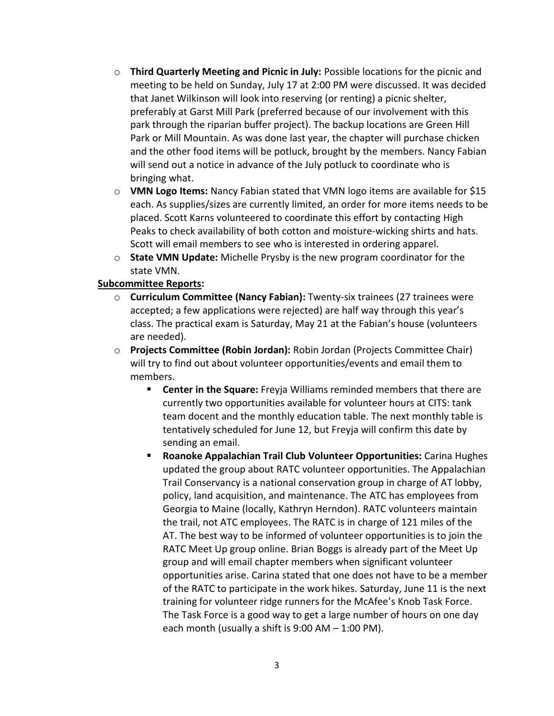- o **Third Quarterly Meeting and Picnic in July:** Possible locations for the picnic and meeting to be held on Sunday, July 17 at 2:00 PM were discussed. It was decided that Janet Wilkinson will look into reserving (or renting) a picnic shelter, preferably at Garst Mill Park (preferred because of our involvement with this park through the riparian buffer project). The backup locations are Green Hill Park or Mill Mountain. As was done last year, the chapter will purchase chicken and the other food items will be potluck, brought by the members. Nancy Fabian will send out a notice in advance of the July potluck to coordinate who is bringing what.
- o **VMN Logo Items:** Nancy Fabian stated that VMN logo items are available for \$15 each. As supplies/sizes are currently limited, an order for more items needs to be placed. Scott Karns volunteered to coordinate this effort by contacting High Peaks to check availability of both cotton and moisture-wicking shirts and hats. Scott will email members to see who is interested in ordering apparel.
- o **State VMN Update:** Michelle Prysby is the new program coordinator for the state VMN.

### **Subcommittee Reports:**

- o **Curriculum Committee (Nancy Fabian):** Twenty-six trainees (27 trainees were accepted; a few applications were rejected) are half way through this year's class. The practical exam is Saturday, May 21 at the Fabian's house (volunteers are needed).
- o **Projects Committee (Robin Jordan):** Robin Jordan (Projects Committee Chair) will try to find out about volunteer opportunities/events and email them to members.
	- **Center in the Square:** Freyja Williams reminded members that there are currently two opportunities available for volunteer hours at CITS: tank team docent and the monthly education table. The next monthly table is tentatively scheduled for June 12, but Freyja will confirm this date by sending an email.
	- **Roanoke Appalachian Trail Club Volunteer Opportunities:** Carina Hughes updated the group about RATC volunteer opportunities. The Appalachian Trail Conservancy is a national conservation group in charge of AT lobby, policy, land acquisition, and maintenance. The ATC has employees from Georgia to Maine (locally, Kathryn Herndon). RATC volunteers maintain the trail, not ATC employees. The RATC is in charge of 121 miles of the AT. The best way to be informed of volunteer opportunities is to join the RATC Meet Up group online. Brian Boggs is already part of the Meet Up group and will email chapter members when significant volunteer opportunities arise. Carina stated that one does not have to be a member of the RATC to participate in the work hikes. Saturday, June 11 is the next training for volunteer ridge runners for the McAfee's Knob Task Force. The Task Force is a good way to get a large number of hours on one day each month (usually a shift is 9:00 AM – 1:00 PM).